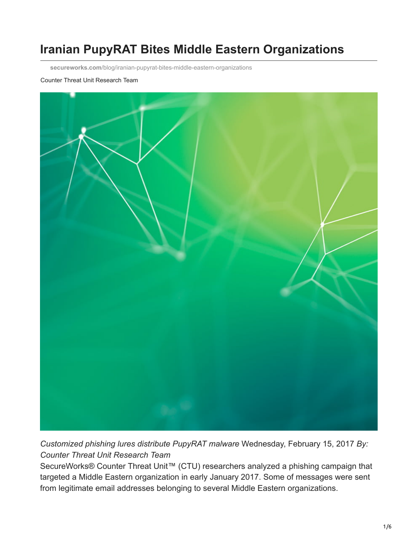# **Iranian PupyRAT Bites Middle Eastern Organizations**

**secureworks.com**[/blog/iranian-pupyrat-bites-middle-eastern-organizations](https://www.secureworks.com/blog/iranian-pupyrat-bites-middle-eastern-organizations)

#### Counter Threat Unit Research Team



*Customized phishing lures distribute PupyRAT malware* Wednesday, February 15, 2017 *By: Counter Threat Unit Research Team*

SecureWorks® Counter Threat Unit<sup>™</sup> (CTU) researchers analyzed a phishing campaign that targeted a Middle Eastern organization in early January 2017. Some of messages were sent from legitimate email addresses belonging to several Middle Eastern organizations.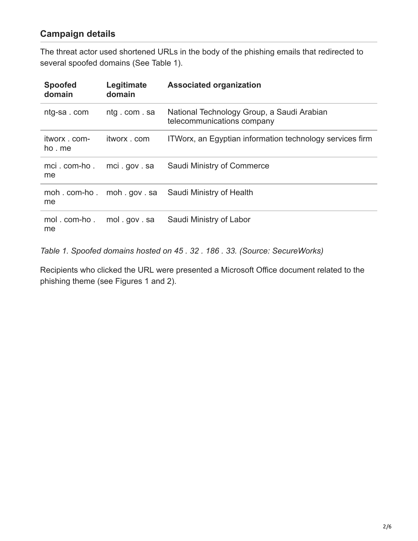### **Campaign details**

The threat actor used shortened URLs in the body of the phishing emails that redirected to several spoofed domains (See Table 1).

| <b>Spoofed</b><br>domain | Legitimate<br>domain | <b>Associated organization</b>                                           |
|--------------------------|----------------------|--------------------------------------------------------------------------|
| ntg-sa.com               | ntg.com.sa           | National Technology Group, a Saudi Arabian<br>telecommunications company |
| itworx . com-<br>ho me   | itworx com           | ITWorx, an Egyptian information technology services firm                 |
| mci.com-ho.<br>me        | mci.gov.sa           | Saudi Ministry of Commerce                                               |
| moh.com-ho.<br>me        | moh.gov.sa           | Saudi Ministry of Health                                                 |
| mol.com-ho.<br>me        | mol.gov.sa           | Saudi Ministry of Labor                                                  |

*Table 1. Spoofed domains hosted on 45 . 32 . 186 . 33. (Source: SecureWorks)*

Recipients who clicked the URL were presented a Microsoft Office document related to the phishing theme (see Figures 1 and 2).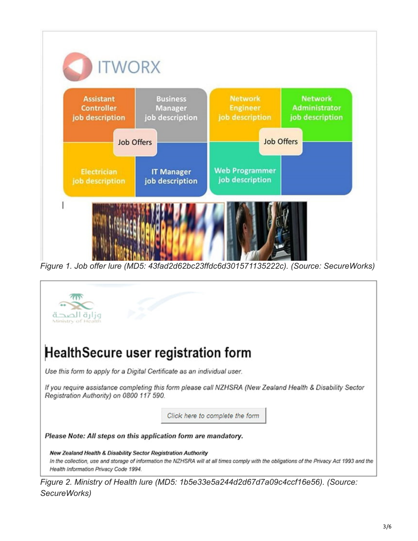

*Figure 1. Job offer lure (MD5: 43fad2d62bc23ffdc6d301571135222c). (Source: SecureWorks)*



*Figure 2. Ministry of Health lure (MD5: 1b5e33e5a244d2d67d7a09c4ccf16e56). (Source: SecureWorks)*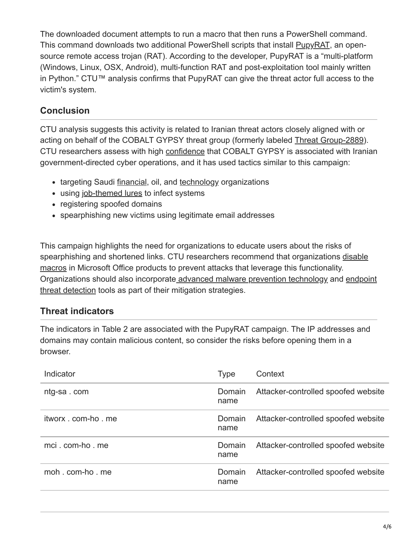The downloaded document attempts to run a macro that then runs a PowerShell command. This command downloads two additional PowerShell scripts that install **[PupyRAT](https://github.com/n1nj4sec/pupy)**, an opensource remote access trojan (RAT). According to the developer, PupyRAT is a "multi-platform (Windows, Linux, OSX, Android), multi-function RAT and post-exploitation tool mainly written in Python." CTU™ analysis confirms that PupyRAT can give the threat actor full access to the victim's system.

# **Conclusion**

CTU analysis suggests this activity is related to Iranian threat actors closely aligned with or acting on behalf of the COBALT GYPSY threat group (formerly labeled [Threat Group-2889\)](https://www.secureworks.com/research/suspected-iran-based-hacker-group-creates-network-of-fake-linkedin-profiles). CTU researchers assess with high [confidence](#page-5-0) that COBALT GYPSY is associated with Iranian government-directed cyber operations, and it has used tactics similar to this campaign:

- targeting Saudi [financial](http://researchcenter.paloaltonetworks.com/2016/05/the-oilrig-campaign-attacks-on-saudi-arabian-organizations-deliver-helminth-backdoor/), oil, and [technology](http://www.clearskysec.com/oilrig/) organizations
- using [job-themed lures](https://www.cylance.com/operation-cleaver-cylance) to infect systems
- registering spoofed domains
- spearphishing new victims using legitimate email addresses

This campaign highlights the need for organizations to educate users about the risks of [spearphishing and shortened links. CTU researchers recommend that organizations disable](https://support.office.com/en-us/article/Enable-or-disable-macros-in-Office-documents-7B4FDD2E-174F-47E2-9611-9EFE4F860B12) macros in Microsoft Office products to prevent attacks that leverage this functionality. [Organizations should also incorporate advanced malware prevention technology and endpoint](https://www.secureworks.com/capabilities/managed-security/endpoint-security/endpoint-threat-detection) threat detection tools as part of their mitigation strategies.

## **Threat indicators**

The indicators in Table 2 are associated with the PupyRAT campaign. The IP addresses and domains may contain malicious content, so consider the risks before opening them in a browser.

| Indicator        | Type           | Context                             |
|------------------|----------------|-------------------------------------|
| ntg-sa.com       | Domain<br>name | Attacker-controlled spoofed website |
| itworx com-ho me | Domain<br>name | Attacker-controlled spoofed website |
| mci.com-ho.me    | Domain<br>name | Attacker-controlled spoofed website |
| moh com-ho me    | Domain<br>name | Attacker-controlled spoofed website |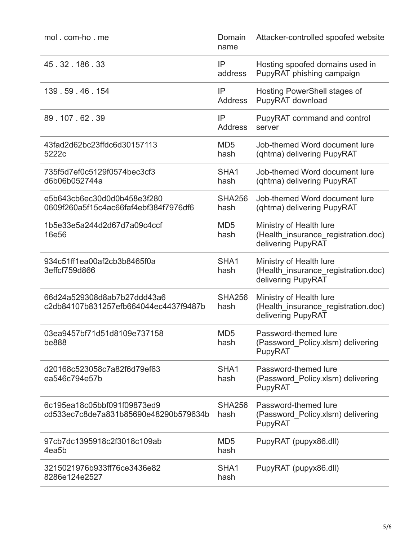| mol. com-ho. me                                                      | Domain<br>name           | Attacker-controlled spoofed website                                                  |
|----------------------------------------------------------------------|--------------------------|--------------------------------------------------------------------------------------|
| 45.32.186.33                                                         | IP<br>address            | Hosting spoofed domains used in<br>PupyRAT phishing campaign                         |
| 139.59.46.154                                                        | IP<br><b>Address</b>     | Hosting PowerShell stages of<br>PupyRAT download                                     |
| 89.107.62.39                                                         | IP<br><b>Address</b>     | PupyRAT command and control<br>server                                                |
| 43fad2d62bc23ffdc6d30157113<br>5222c                                 | MD <sub>5</sub><br>hash  | Job-themed Word document lure<br>(qhtma) delivering PupyRAT                          |
| 735f5d7ef0c5129f0574bec3cf3<br>d6b06b052744a                         | SHA <sub>1</sub><br>hash | Job-themed Word document lure<br>(qhtma) delivering PupyRAT                          |
| e5b643cb6ec30d0d0b458e3f280<br>0609f260a5f15c4ac66faf4ebf384f7976df6 | <b>SHA256</b><br>hash    | Job-themed Word document lure<br>(ghtma) delivering PupyRAT                          |
| 1b5e33e5a244d2d67d7a09c4ccf<br>16e56                                 | MD <sub>5</sub><br>hash  | Ministry of Health lure<br>(Health_insurance_registration.doc)<br>delivering PupyRAT |
| 934c51ff1ea00af2cb3b8465f0a<br>3effcf759d866                         | SHA1<br>hash             | Ministry of Health lure<br>(Health_insurance_registration.doc)<br>delivering PupyRAT |
| 66d24a529308d8ab7b27ddd43a6<br>c2db84107b831257efb664044ec4437f9487b | <b>SHA256</b><br>hash    | Ministry of Health lure<br>(Health_insurance_registration.doc)<br>delivering PupyRAT |
| 03ea9457bf71d51d8109e737158<br><b>be888</b>                          | MD <sub>5</sub><br>hash  | Password-themed lure<br>(Password Policy.xlsm) delivering<br>PupyRAT                 |
| d20168c523058c7a82f6d79ef63<br>ea546c794e57b                         | SHA <sub>1</sub><br>hash | Password-themed lure<br>(Password_Policy.xlsm) delivering<br>PupyRAT                 |
| 6c195ea18c05bbf091f09873ed9<br>cd533ec7c8de7a831b85690e48290b579634b | <b>SHA256</b><br>hash    | Password-themed lure<br>(Password_Policy.xlsm) delivering<br>PupyRAT                 |
| 97cb7dc1395918c2f3018c109ab<br>4ea <sub>5</sub> b                    | MD <sub>5</sub><br>hash  | PupyRAT (pupyx86.dll)                                                                |
| 3215021976b933ff76ce3436e82<br>8286e124e2527                         | SHA1<br>hash             | PupyRAT (pupyx86.dll)                                                                |